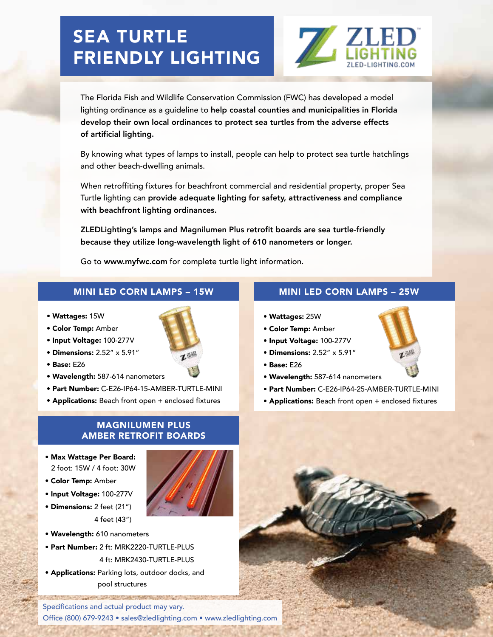## SEA TURTLE FRIENDLY LIGHTING



The Florida Fish and Wildlife Conservation Commission (FWC) has developed a model lighting ordinance as a guideline to help coastal counties and municipalities in Florida develop their own local ordinances to protect sea turtles from the adverse effects of artificial lighting.

By knowing what types of lamps to install, people can help to protect sea turtle hatchlings and other beach-dwelling animals.

When retroffiting fixtures for beachfront commercial and residential property, proper Sea Turtle lighting can provide adequate lighting for safety, attractiveness and compliance with beachfront lighting ordinances.

ZLEDLighting's lamps and Magnilumen Plus retrofit boards are sea turtle-friendly because they utilize long-wavelength light of 610 nanometers or longer.

Go to www.myfwc.com for complete turtle light information.

- Wattages: 15W
- Color Temp: Amber
- Input Voltage: 100-277V
- $\bullet$  Dimensions: 2.52" x 5.91"
- $\bullet$  Base: E26
- Wavelength: 587-614 nanometers
- Part Number: C-E26-IP64-15-AMBER-TURTLE-MINI
- Applications: Beach front open + enclosed fixtures

## MAGNILUMEN PLUS AMBER RETROFIT BOARDS

- Max Wattage Per Board: 2 foot: 15W / 4 foot: 30W
- Color Temp: Amber
- Input Voltage: 100-277V
- Dimensions: 2 feet (21") 4 feet (43")
- Wavelength: 610 nanometers
- Part Number: 2 ft: MRK2220-TURTLE-PLUS 4 ft: MRK2430-TURTLE-PLUS
- Applications: Parking lots, outdoor docks, and pool structures

Specifications and actual product may vary. Office (800) 679-9243 · sales@zledlighting.com · www.zledlighting.com

and the first of the first of the control of the control of



- Wattages: 25W
- Color Temp: Amber
- Input Voltage: 100-277V
- $\bullet$  Dimensions: 2.52"  $\times$  5.91"
- Base: E26
- Wavelength: 587-614 nanometers
- Part Number: C-E26-IP64-25-AMBER-TURTLE-MINI
- Applications: Beach front open + enclosed fixtures



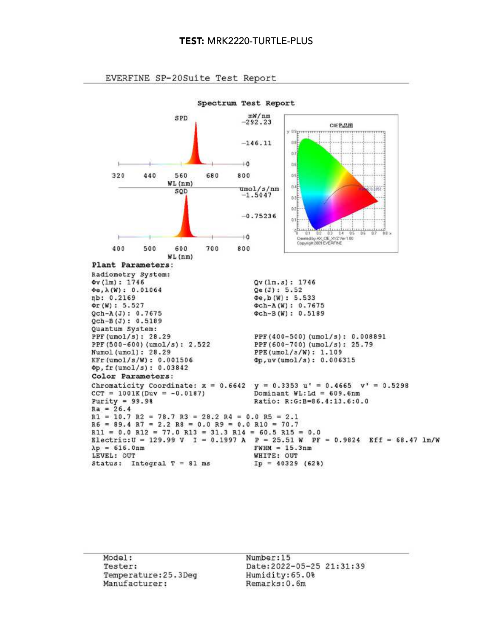

EVERFINE SP-20Suite Test Report

Model: Tester: Temperature: 25.3Deq Manufacturer:

Number:15 Date: 2022-05-25 21:31:39 Humidity: 65.0% Remarks: 0.6m